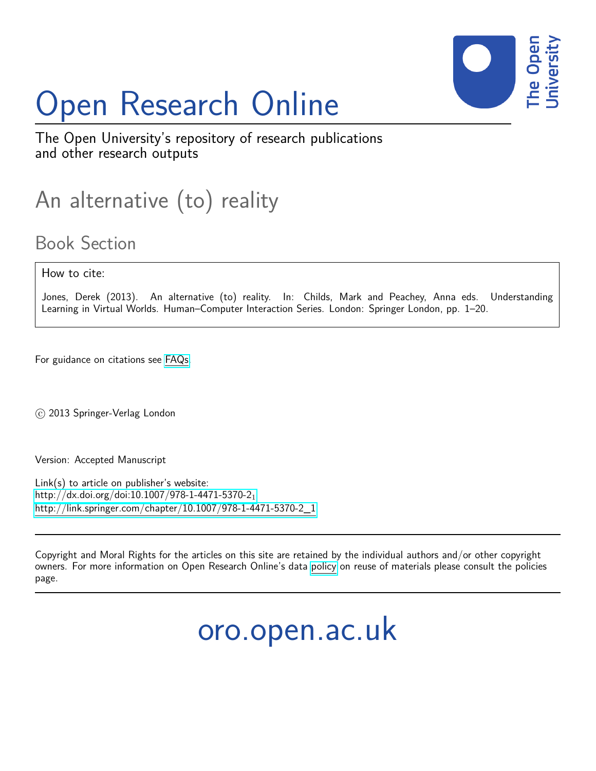

# Open Research Online

The Open University's repository of research publications and other research outputs

## An alternative (to) reality

### Book Section

How to cite:

Jones, Derek (2013). An alternative (to) reality. In: Childs, Mark and Peachey, Anna eds. Understanding Learning in Virtual Worlds. Human–Computer Interaction Series. London: Springer London, pp. 1–20.

For guidance on citations see [FAQs.](http://oro.open.ac.uk/help/helpfaq.html)

c 2013 Springer-Verlag London

Version: Accepted Manuscript

Link(s) to article on publisher's website: [http://dx.doi.org/doi:10.1007/978-1-4471-5370-2](http://dx.doi.org/doi:10.1007/978-1-4471-5370-2_1)<sup>1</sup> [http://link.springer.com/chapter/10.1007/978-1-4471-5370-2\\_1](http://link.springer.com/chapter/10.1007/978-1-4471-5370-2_1)

Copyright and Moral Rights for the articles on this site are retained by the individual authors and/or other copyright owners. For more information on Open Research Online's data [policy](http://oro.open.ac.uk/policies.html) on reuse of materials please consult the policies page.

oro.open.ac.uk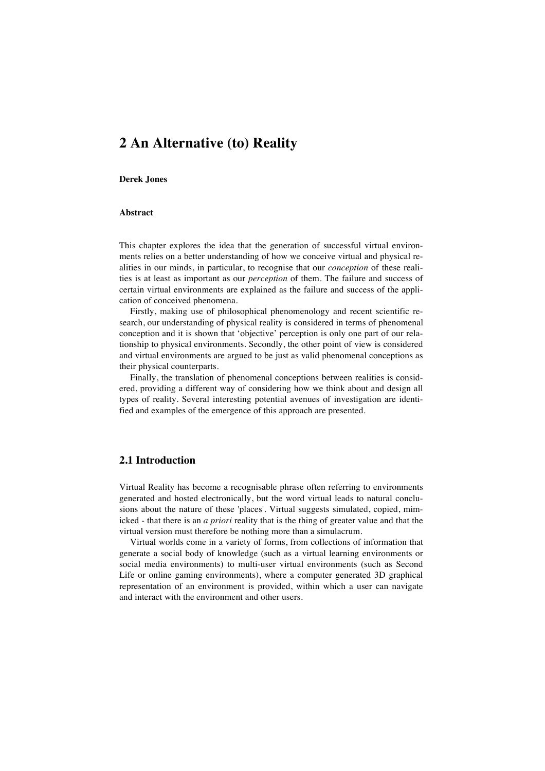#### **2 An Alternative (to) Reality**

#### **Derek Jones**

#### **Abstract**

This chapter explores the idea that the generation of successful virtual environments relies on a better understanding of how we conceive virtual and physical realities in our minds, in particular, to recognise that our *conception* of these realities is at least as important as our *perception* of them. The failure and success of certain virtual environments are explained as the failure and success of the application of conceived phenomena.

Firstly, making use of philosophical phenomenology and recent scientific research, our understanding of physical reality is considered in terms of phenomenal conception and it is shown that 'objective' perception is only one part of our relationship to physical environments. Secondly, the other point of view is considered and virtual environments are argued to be just as valid phenomenal conceptions as their physical counterparts.

Finally, the translation of phenomenal conceptions between realities is considered, providing a different way of considering how we think about and design all types of reality. Several interesting potential avenues of investigation are identified and examples of the emergence of this approach are presented.

#### **2.1 Introduction**

Virtual Reality has become a recognisable phrase often referring to environments generated and hosted electronically, but the word virtual leads to natural conclusions about the nature of these 'places'. Virtual suggests simulated, copied, mimicked - that there is an *a priori* reality that is the thing of greater value and that the virtual version must therefore be nothing more than a simulacrum.

Virtual worlds come in a variety of forms, from collections of information that generate a social body of knowledge (such as a virtual learning environments or social media environments) to multi-user virtual environments (such as Second Life or online gaming environments), where a computer generated 3D graphical representation of an environment is provided, within which a user can navigate and interact with the environment and other users.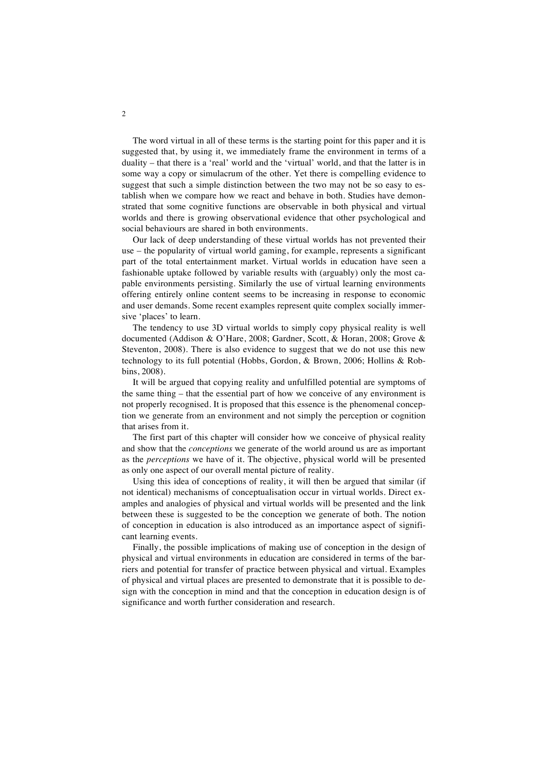The word virtual in all of these terms is the starting point for this paper and it is suggested that, by using it, we immediately frame the environment in terms of a duality – that there is a 'real' world and the 'virtual' world, and that the latter is in some way a copy or simulacrum of the other. Yet there is compelling evidence to suggest that such a simple distinction between the two may not be so easy to establish when we compare how we react and behave in both. Studies have demonstrated that some cognitive functions are observable in both physical and virtual worlds and there is growing observational evidence that other psychological and social behaviours are shared in both environments.

Our lack of deep understanding of these virtual worlds has not prevented their use – the popularity of virtual world gaming, for example, represents a significant part of the total entertainment market. Virtual worlds in education have seen a fashionable uptake followed by variable results with (arguably) only the most capable environments persisting. Similarly the use of virtual learning environments offering entirely online content seems to be increasing in response to economic and user demands. Some recent examples represent quite complex socially immersive 'places' to learn.

The tendency to use 3D virtual worlds to simply copy physical reality is well documented (Addison & O'Hare, 2008; Gardner, Scott, & Horan, 2008; Grove & Steventon, 2008). There is also evidence to suggest that we do not use this new technology to its full potential (Hobbs, Gordon, & Brown, 2006; Hollins & Robbins, 2008).

It will be argued that copying reality and unfulfilled potential are symptoms of the same thing – that the essential part of how we conceive of any environment is not properly recognised. It is proposed that this essence is the phenomenal conception we generate from an environment and not simply the perception or cognition that arises from it.

The first part of this chapter will consider how we conceive of physical reality and show that the *conceptions* we generate of the world around us are as important as the *perceptions* we have of it. The objective, physical world will be presented as only one aspect of our overall mental picture of reality.

Using this idea of conceptions of reality, it will then be argued that similar (if not identical) mechanisms of conceptualisation occur in virtual worlds. Direct examples and analogies of physical and virtual worlds will be presented and the link between these is suggested to be the conception we generate of both. The notion of conception in education is also introduced as an importance aspect of significant learning events.

Finally, the possible implications of making use of conception in the design of physical and virtual environments in education are considered in terms of the barriers and potential for transfer of practice between physical and virtual. Examples of physical and virtual places are presented to demonstrate that it is possible to design with the conception in mind and that the conception in education design is of significance and worth further consideration and research.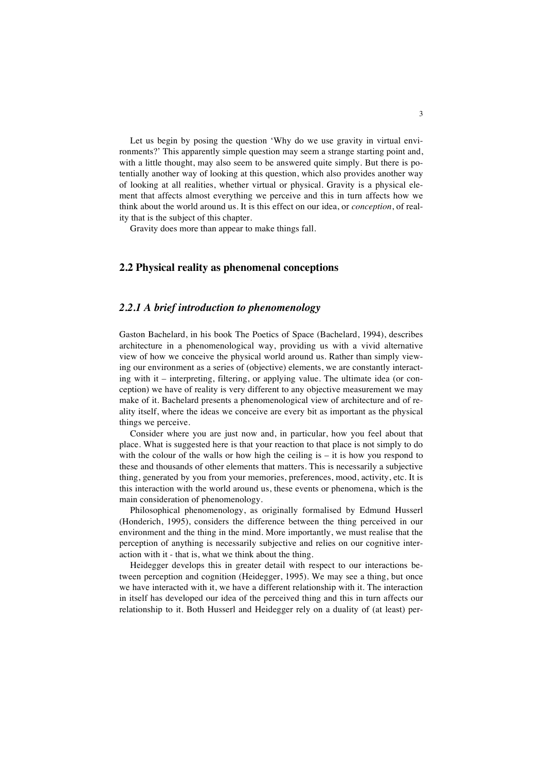Let us begin by posing the question 'Why do we use gravity in virtual environments?' This apparently simple question may seem a strange starting point and, with a little thought, may also seem to be answered quite simply. But there is potentially another way of looking at this question, which also provides another way of looking at all realities, whether virtual or physical. Gravity is a physical element that affects almost everything we perceive and this in turn affects how we think about the world around us. It is this effect on our idea, or *conception*, of reality that is the subject of this chapter.

Gravity does more than appear to make things fall.

#### **2.2 Physical reality as phenomenal conceptions**

#### *2.2.1 A brief introduction to phenomenology*

Gaston Bachelard, in his book The Poetics of Space (Bachelard, 1994), describes architecture in a phenomenological way, providing us with a vivid alternative view of how we conceive the physical world around us. Rather than simply viewing our environment as a series of (objective) elements, we are constantly interacting with it – interpreting, filtering, or applying value. The ultimate idea (or conception) we have of reality is very different to any objective measurement we may make of it. Bachelard presents a phenomenological view of architecture and of reality itself, where the ideas we conceive are every bit as important as the physical things we perceive.

Consider where you are just now and, in particular, how you feel about that place. What is suggested here is that your reaction to that place is not simply to do with the colour of the walls or how high the ceiling is – it is how you respond to these and thousands of other elements that matters. This is necessarily a subjective thing, generated by you from your memories, preferences, mood, activity, etc. It is this interaction with the world around us, these events or phenomena, which is the main consideration of phenomenology.

Philosophical phenomenology, as originally formalised by Edmund Husserl (Honderich, 1995), considers the difference between the thing perceived in our environment and the thing in the mind. More importantly, we must realise that the perception of anything is necessarily subjective and relies on our cognitive interaction with it - that is, what we think about the thing.

Heidegger develops this in greater detail with respect to our interactions between perception and cognition (Heidegger, 1995). We may see a thing, but once we have interacted with it, we have a different relationship with it. The interaction in itself has developed our idea of the perceived thing and this in turn affects our relationship to it. Both Husserl and Heidegger rely on a duality of (at least) per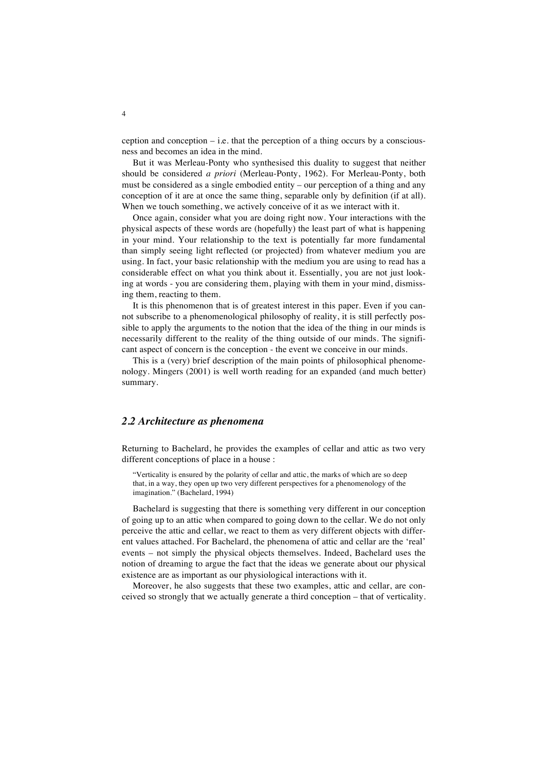ception and conception  $-$  i.e. that the perception of a thing occurs by a consciousness and becomes an idea in the mind.

But it was Merleau-Ponty who synthesised this duality to suggest that neither should be considered *a priori* (Merleau-Ponty, 1962). For Merleau-Ponty, both must be considered as a single embodied entity – our perception of a thing and any conception of it are at once the same thing, separable only by definition (if at all). When we touch something, we actively conceive of it as we interact with it.

Once again, consider what you are doing right now. Your interactions with the physical aspects of these words are (hopefully) the least part of what is happening in your mind. Your relationship to the text is potentially far more fundamental than simply seeing light reflected (or projected) from whatever medium you are using. In fact, your basic relationship with the medium you are using to read has a considerable effect on what you think about it. Essentially, you are not just looking at words - you are considering them, playing with them in your mind, dismissing them, reacting to them.

It is this phenomenon that is of greatest interest in this paper. Even if you cannot subscribe to a phenomenological philosophy of reality, it is still perfectly possible to apply the arguments to the notion that the idea of the thing in our minds is necessarily different to the reality of the thing outside of our minds. The significant aspect of concern is the conception - the event we conceive in our minds.

This is a (very) brief description of the main points of philosophical phenomenology. Mingers (2001) is well worth reading for an expanded (and much better) summary.

#### *2.2 Architecture as phenomena*

Returning to Bachelard, he provides the examples of cellar and attic as two very different conceptions of place in a house :

"Verticality is ensured by the polarity of cellar and attic, the marks of which are so deep that, in a way, they open up two very different perspectives for a phenomenology of the imagination." (Bachelard, 1994)

Bachelard is suggesting that there is something very different in our conception of going up to an attic when compared to going down to the cellar. We do not only perceive the attic and cellar, we react to them as very different objects with different values attached. For Bachelard, the phenomena of attic and cellar are the 'real' events – not simply the physical objects themselves. Indeed, Bachelard uses the notion of dreaming to argue the fact that the ideas we generate about our physical existence are as important as our physiological interactions with it.

Moreover, he also suggests that these two examples, attic and cellar, are conceived so strongly that we actually generate a third conception – that of verticality.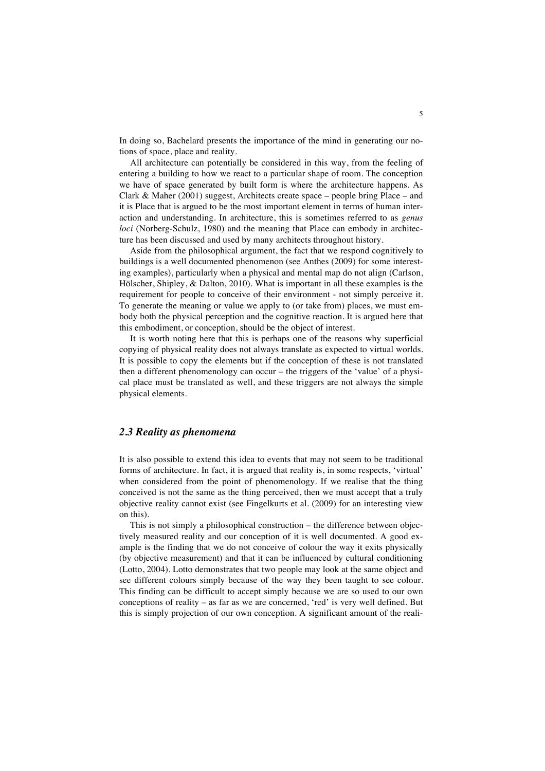In doing so, Bachelard presents the importance of the mind in generating our notions of space, place and reality.

All architecture can potentially be considered in this way, from the feeling of entering a building to how we react to a particular shape of room. The conception we have of space generated by built form is where the architecture happens. As Clark & Maher (2001) suggest, Architects create space – people bring Place – and it is Place that is argued to be the most important element in terms of human interaction and understanding. In architecture, this is sometimes referred to as *genus loci* (Norberg-Schulz, 1980) and the meaning that Place can embody in architecture has been discussed and used by many architects throughout history.

Aside from the philosophical argument, the fact that we respond cognitively to buildings is a well documented phenomenon (see Anthes (2009) for some interesting examples), particularly when a physical and mental map do not align (Carlson, Hölscher, Shipley, & Dalton, 2010). What is important in all these examples is the requirement for people to conceive of their environment - not simply perceive it. To generate the meaning or value we apply to (or take from) places, we must embody both the physical perception and the cognitive reaction. It is argued here that this embodiment, or conception, should be the object of interest.

It is worth noting here that this is perhaps one of the reasons why superficial copying of physical reality does not always translate as expected to virtual worlds. It is possible to copy the elements but if the conception of these is not translated then a different phenomenology can occur – the triggers of the 'value' of a physical place must be translated as well, and these triggers are not always the simple physical elements.

#### *2.3 Reality as phenomena*

It is also possible to extend this idea to events that may not seem to be traditional forms of architecture. In fact, it is argued that reality is, in some respects, 'virtual' when considered from the point of phenomenology. If we realise that the thing conceived is not the same as the thing perceived, then we must accept that a truly objective reality cannot exist (see Fingelkurts et al. (2009) for an interesting view on this).

This is not simply a philosophical construction – the difference between objectively measured reality and our conception of it is well documented. A good example is the finding that we do not conceive of colour the way it exits physically (by objective measurement) and that it can be influenced by cultural conditioning (Lotto, 2004). Lotto demonstrates that two people may look at the same object and see different colours simply because of the way they been taught to see colour. This finding can be difficult to accept simply because we are so used to our own conceptions of reality – as far as we are concerned, 'red' is very well defined. But this is simply projection of our own conception. A significant amount of the reali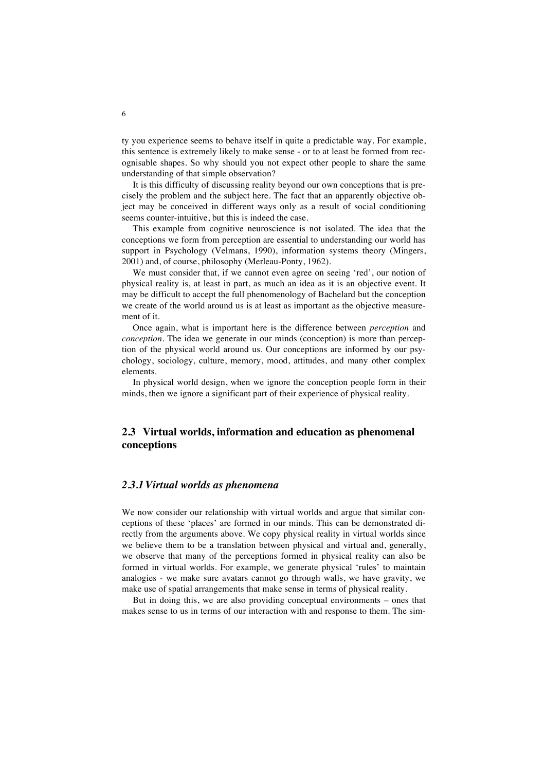ty you experience seems to behave itself in quite a predictable way. For example, this sentence is extremely likely to make sense - or to at least be formed from recognisable shapes. So why should you not expect other people to share the same understanding of that simple observation?

It is this difficulty of discussing reality beyond our own conceptions that is precisely the problem and the subject here. The fact that an apparently objective object may be conceived in different ways only as a result of social conditioning seems counter-intuitive, but this is indeed the case.

This example from cognitive neuroscience is not isolated. The idea that the conceptions we form from perception are essential to understanding our world has support in Psychology (Velmans, 1990), information systems theory (Mingers, 2001) and, of course, philosophy (Merleau-Ponty, 1962).

We must consider that, if we cannot even agree on seeing 'red', our notion of physical reality is, at least in part, as much an idea as it is an objective event. It may be difficult to accept the full phenomenology of Bachelard but the conception we create of the world around us is at least as important as the objective measurement of it.

Once again, what is important here is the difference between *perception* and *conception*. The idea we generate in our minds (conception) is more than perception of the physical world around us. Our conceptions are informed by our psychology, sociology, culture, memory, mood, attitudes, and many other complex elements.

In physical world design, when we ignore the conception people form in their minds, then we ignore a significant part of their experience of physical reality.

#### **2.3 Virtual worlds, information and education as phenomenal conceptions**

#### *2.3.1Virtual worlds as phenomena*

We now consider our relationship with virtual worlds and argue that similar conceptions of these 'places' are formed in our minds. This can be demonstrated directly from the arguments above. We copy physical reality in virtual worlds since we believe them to be a translation between physical and virtual and, generally, we observe that many of the perceptions formed in physical reality can also be formed in virtual worlds. For example, we generate physical 'rules' to maintain analogies - we make sure avatars cannot go through walls, we have gravity, we make use of spatial arrangements that make sense in terms of physical reality.

But in doing this, we are also providing conceptual environments – ones that makes sense to us in terms of our interaction with and response to them. The sim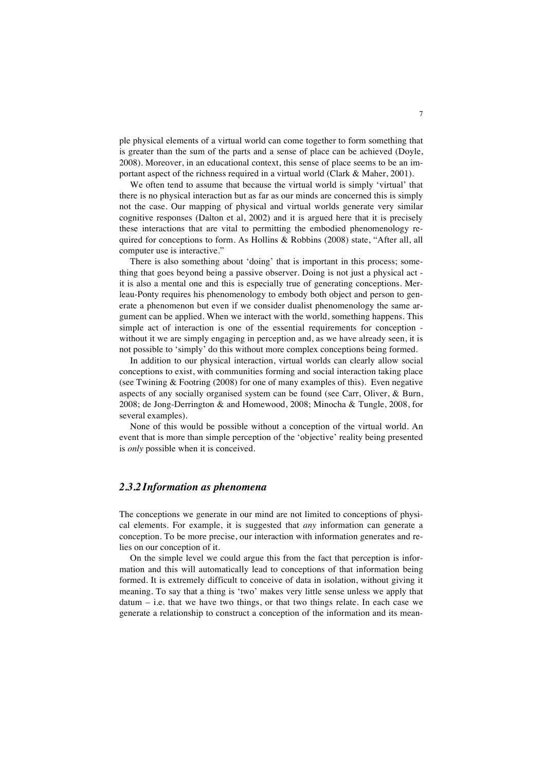ple physical elements of a virtual world can come together to form something that is greater than the sum of the parts and a sense of place can be achieved (Doyle, 2008). Moreover, in an educational context, this sense of place seems to be an important aspect of the richness required in a virtual world (Clark & Maher, 2001).

We often tend to assume that because the virtual world is simply 'virtual' that there is no physical interaction but as far as our minds are concerned this is simply not the case. Our mapping of physical and virtual worlds generate very similar cognitive responses (Dalton et al, 2002) and it is argued here that it is precisely these interactions that are vital to permitting the embodied phenomenology required for conceptions to form. As Hollins & Robbins (2008) state, "After all, all computer use is interactive."

There is also something about 'doing' that is important in this process; something that goes beyond being a passive observer. Doing is not just a physical act it is also a mental one and this is especially true of generating conceptions. Merleau-Ponty requires his phenomenology to embody both object and person to generate a phenomenon but even if we consider dualist phenomenology the same argument can be applied. When we interact with the world, something happens. This simple act of interaction is one of the essential requirements for conception without it we are simply engaging in perception and, as we have already seen, it is not possible to 'simply' do this without more complex conceptions being formed.

In addition to our physical interaction, virtual worlds can clearly allow social conceptions to exist, with communities forming and social interaction taking place (see Twining & Footring (2008) for one of many examples of this). Even negative aspects of any socially organised system can be found (see Carr, Oliver, & Burn, 2008; de Jong-Derrington & and Homewood, 2008; Minocha & Tungle, 2008, for several examples).

None of this would be possible without a conception of the virtual world. An event that is more than simple perception of the 'objective' reality being presented is *only* possible when it is conceived.

#### *2.3.2Information as phenomena*

The conceptions we generate in our mind are not limited to conceptions of physical elements. For example, it is suggested that *any* information can generate a conception. To be more precise, our interaction with information generates and relies on our conception of it.

On the simple level we could argue this from the fact that perception is information and this will automatically lead to conceptions of that information being formed. It is extremely difficult to conceive of data in isolation, without giving it meaning. To say that a thing is 'two' makes very little sense unless we apply that  $d$ atum – i.e. that we have two things, or that two things relate. In each case we generate a relationship to construct a conception of the information and its mean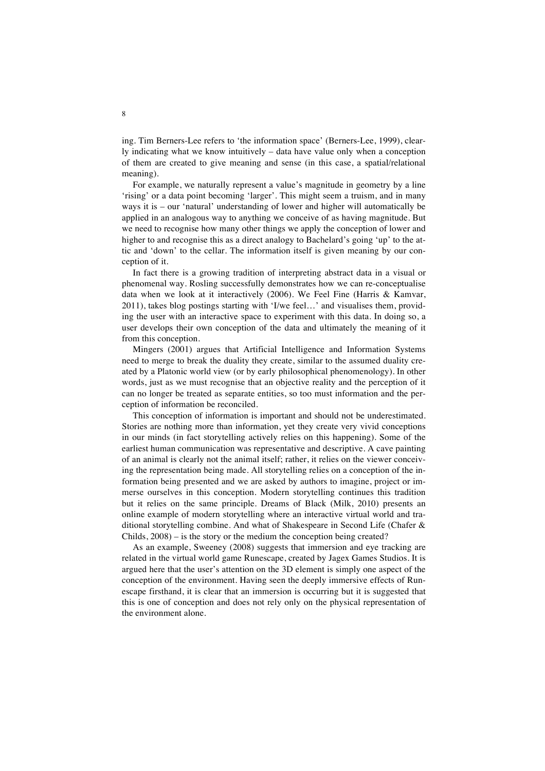ing. Tim Berners-Lee refers to 'the information space' (Berners-Lee, 1999), clearly indicating what we know intuitively – data have value only when a conception of them are created to give meaning and sense (in this case, a spatial/relational meaning).

For example, we naturally represent a value's magnitude in geometry by a line 'rising' or a data point becoming 'larger'. This might seem a truism, and in many ways it is – our 'natural' understanding of lower and higher will automatically be applied in an analogous way to anything we conceive of as having magnitude. But we need to recognise how many other things we apply the conception of lower and higher to and recognise this as a direct analogy to Bachelard's going 'up' to the attic and 'down' to the cellar. The information itself is given meaning by our conception of it.

In fact there is a growing tradition of interpreting abstract data in a visual or phenomenal way. Rosling successfully demonstrates how we can re-conceptualise data when we look at it interactively (2006). We Feel Fine (Harris & Kamvar, 2011), takes blog postings starting with 'I/we feel…' and visualises them, providing the user with an interactive space to experiment with this data. In doing so, a user develops their own conception of the data and ultimately the meaning of it from this conception.

Mingers (2001) argues that Artificial Intelligence and Information Systems need to merge to break the duality they create, similar to the assumed duality created by a Platonic world view (or by early philosophical phenomenology). In other words, just as we must recognise that an objective reality and the perception of it can no longer be treated as separate entities, so too must information and the perception of information be reconciled.

This conception of information is important and should not be underestimated. Stories are nothing more than information, yet they create very vivid conceptions in our minds (in fact storytelling actively relies on this happening). Some of the earliest human communication was representative and descriptive. A cave painting of an animal is clearly not the animal itself; rather, it relies on the viewer conceiving the representation being made. All storytelling relies on a conception of the information being presented and we are asked by authors to imagine, project or immerse ourselves in this conception. Modern storytelling continues this tradition but it relies on the same principle. Dreams of Black (Milk, 2010) presents an online example of modern storytelling where an interactive virtual world and traditional storytelling combine. And what of Shakespeare in Second Life (Chafer & Childs, 2008) – is the story or the medium the conception being created?

As an example, Sweeney (2008) suggests that immersion and eye tracking are related in the virtual world game Runescape, created by Jagex Games Studios. It is argued here that the user's attention on the 3D element is simply one aspect of the conception of the environment. Having seen the deeply immersive effects of Runescape firsthand, it is clear that an immersion is occurring but it is suggested that this is one of conception and does not rely only on the physical representation of the environment alone.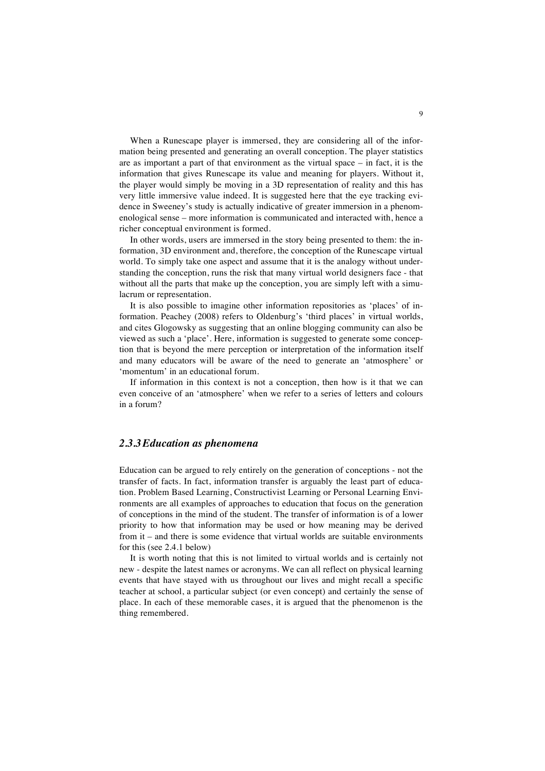When a Runescape player is immersed, they are considering all of the information being presented and generating an overall conception. The player statistics are as important a part of that environment as the virtual space – in fact, it is the information that gives Runescape its value and meaning for players. Without it, the player would simply be moving in a 3D representation of reality and this has very little immersive value indeed. It is suggested here that the eye tracking evidence in Sweeney's study is actually indicative of greater immersion in a phenomenological sense – more information is communicated and interacted with, hence a richer conceptual environment is formed.

In other words, users are immersed in the story being presented to them: the information, 3D environment and, therefore, the conception of the Runescape virtual world. To simply take one aspect and assume that it is the analogy without understanding the conception, runs the risk that many virtual world designers face - that without all the parts that make up the conception, you are simply left with a simulacrum or representation.

It is also possible to imagine other information repositories as 'places' of information. Peachey (2008) refers to Oldenburg's 'third places' in virtual worlds, and cites Glogowsky as suggesting that an online blogging community can also be viewed as such a 'place'. Here, information is suggested to generate some conception that is beyond the mere perception or interpretation of the information itself and many educators will be aware of the need to generate an 'atmosphere' or 'momentum' in an educational forum.

If information in this context is not a conception, then how is it that we can even conceive of an 'atmosphere' when we refer to a series of letters and colours in a forum?

#### *2.3.3Education as phenomena*

Education can be argued to rely entirely on the generation of conceptions - not the transfer of facts. In fact, information transfer is arguably the least part of education. Problem Based Learning, Constructivist Learning or Personal Learning Environments are all examples of approaches to education that focus on the generation of conceptions in the mind of the student. The transfer of information is of a lower priority to how that information may be used or how meaning may be derived from it – and there is some evidence that virtual worlds are suitable environments for this (see 2.4.1 below)

It is worth noting that this is not limited to virtual worlds and is certainly not new - despite the latest names or acronyms. We can all reflect on physical learning events that have stayed with us throughout our lives and might recall a specific teacher at school, a particular subject (or even concept) and certainly the sense of place. In each of these memorable cases, it is argued that the phenomenon is the thing remembered.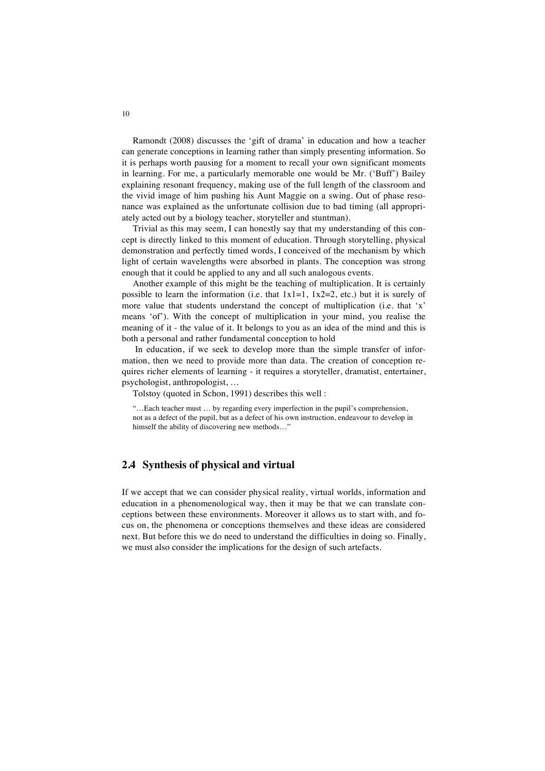Ramondt (2008) discusses the 'gift of drama' in education and how a teacher can generate conceptions in learning rather than simply presenting information. So it is perhaps worth pausing for a moment to recall your own significant moments in learning. For me, a particularly memorable one would be Mr. ('Buff') Bailey explaining resonant frequency, making use of the full length of the classroom and the vivid image of him pushing his Aunt Maggie on a swing. Out of phase resonance was explained as the unfortunate collision due to bad timing (all appropriately acted out by a biology teacher, storyteller and stuntman).

Trivial as this may seem, I can honestly say that my understanding of this concept is directly linked to this moment of education. Through storytelling, physical demonstration and perfectly timed words, I conceived of the mechanism by which light of certain wavelengths were absorbed in plants. The conception was strong enough that it could be applied to any and all such analogous events.

Another example of this might be the teaching of multiplication. It is certainly possible to learn the information (i.e. that  $1x1=1$ ,  $1x2=2$ , etc.) but it is surely of more value that students understand the concept of multiplication (i.e. that 'x' means 'of'). With the concept of multiplication in your mind, you realise the meaning of it - the value of it. It belongs to you as an idea of the mind and this is both a personal and rather fundamental conception to hold

In education, if we seek to develop more than the simple transfer of information, then we need to provide more than data. The creation of conception requires richer elements of learning - it requires a storyteller, dramatist, entertainer, psychologist, anthropologist, …

Tolstoy (quoted in Schon, 1991) describes this well :

"…Each teacher must … by regarding every imperfection in the pupil's comprehension, not as a defect of the pupil, but as a defect of his own instruction, endeavour to develop in himself the ability of discovering new methods..."

#### **2.4 Synthesis of physical and virtual**

If we accept that we can consider physical reality, virtual worlds, information and education in a phenomenological way, then it may be that we can translate conceptions between these environments. Moreover it allows us to start with, and focus on, the phenomena or conceptions themselves and these ideas are considered next. But before this we do need to understand the difficulties in doing so. Finally, we must also consider the implications for the design of such artefacts.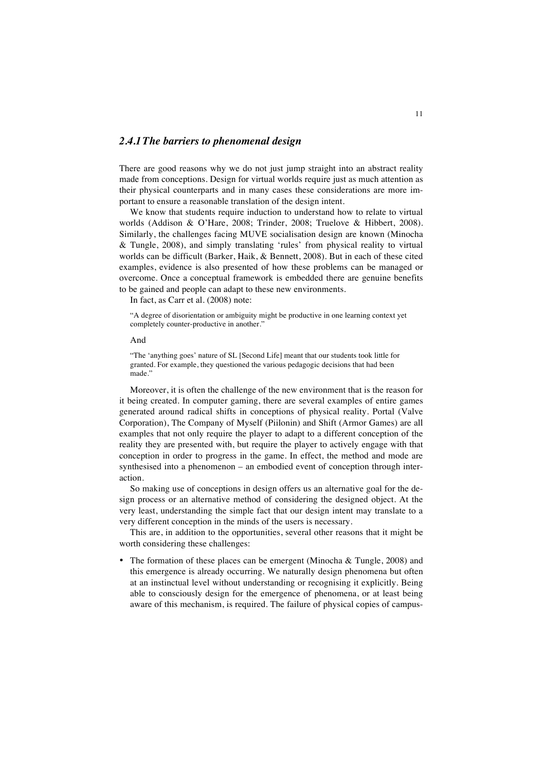#### *2.4.1The barriers to phenomenal design*

There are good reasons why we do not just jump straight into an abstract reality made from conceptions. Design for virtual worlds require just as much attention as their physical counterparts and in many cases these considerations are more important to ensure a reasonable translation of the design intent.

We know that students require induction to understand how to relate to virtual worlds (Addison & O'Hare, 2008; Trinder, 2008; Truelove & Hibbert, 2008). Similarly, the challenges facing MUVE socialisation design are known (Minocha & Tungle, 2008), and simply translating 'rules' from physical reality to virtual worlds can be difficult (Barker, Haik, & Bennett, 2008). But in each of these cited examples, evidence is also presented of how these problems can be managed or overcome. Once a conceptual framework is embedded there are genuine benefits to be gained and people can adapt to these new environments.

In fact, as Carr et al. (2008) note:

"A degree of disorientation or ambiguity might be productive in one learning context yet completely counter-productive in another."

And

"The 'anything goes' nature of SL [Second Life] meant that our students took little for granted. For example, they questioned the various pedagogic decisions that had been made."

Moreover, it is often the challenge of the new environment that is the reason for it being created. In computer gaming, there are several examples of entire games generated around radical shifts in conceptions of physical reality. Portal (Valve Corporation), The Company of Myself (Piilonin) and Shift (Armor Games) are all examples that not only require the player to adapt to a different conception of the reality they are presented with, but require the player to actively engage with that conception in order to progress in the game. In effect, the method and mode are synthesised into a phenomenon – an embodied event of conception through interaction.

So making use of conceptions in design offers us an alternative goal for the design process or an alternative method of considering the designed object. At the very least, understanding the simple fact that our design intent may translate to a very different conception in the minds of the users is necessary.

This are, in addition to the opportunities, several other reasons that it might be worth considering these challenges:

• The formation of these places can be emergent (Minocha & Tungle, 2008) and this emergence is already occurring. We naturally design phenomena but often at an instinctual level without understanding or recognising it explicitly. Being able to consciously design for the emergence of phenomena, or at least being aware of this mechanism, is required. The failure of physical copies of campus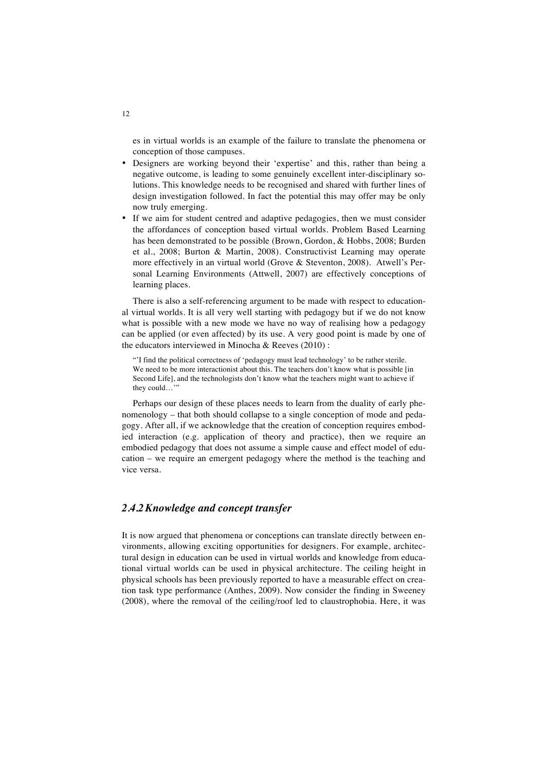es in virtual worlds is an example of the failure to translate the phenomena or conception of those campuses.

- Designers are working beyond their 'expertise' and this, rather than being a negative outcome, is leading to some genuinely excellent inter-disciplinary solutions. This knowledge needs to be recognised and shared with further lines of design investigation followed. In fact the potential this may offer may be only now truly emerging.
- If we aim for student centred and adaptive pedagogies, then we must consider the affordances of conception based virtual worlds. Problem Based Learning has been demonstrated to be possible (Brown, Gordon, & Hobbs, 2008; Burden et al., 2008; Burton & Martin, 2008). Constructivist Learning may operate more effectively in an virtual world (Grove & Steventon, 2008). Atwell's Personal Learning Environments (Attwell, 2007) are effectively conceptions of learning places.

There is also a self-referencing argument to be made with respect to educational virtual worlds. It is all very well starting with pedagogy but if we do not know what is possible with a new mode we have no way of realising how a pedagogy can be applied (or even affected) by its use. A very good point is made by one of the educators interviewed in Minocha & Reeves (2010) :

"'I find the political correctness of 'pedagogy must lead technology' to be rather sterile. We need to be more interactionist about this. The teachers don't know what is possible [in] Second Life], and the technologists don't know what the teachers might want to achieve if they could…'

Perhaps our design of these places needs to learn from the duality of early phenomenology – that both should collapse to a single conception of mode and pedagogy. After all, if we acknowledge that the creation of conception requires embodied interaction (e.g. application of theory and practice), then we require an embodied pedagogy that does not assume a simple cause and effect model of education – we require an emergent pedagogy where the method is the teaching and vice versa.

#### *2.4.2Knowledge and concept transfer*

It is now argued that phenomena or conceptions can translate directly between environments, allowing exciting opportunities for designers. For example, architectural design in education can be used in virtual worlds and knowledge from educational virtual worlds can be used in physical architecture. The ceiling height in physical schools has been previously reported to have a measurable effect on creation task type performance (Anthes, 2009). Now consider the finding in Sweeney (2008), where the removal of the ceiling/roof led to claustrophobia. Here, it was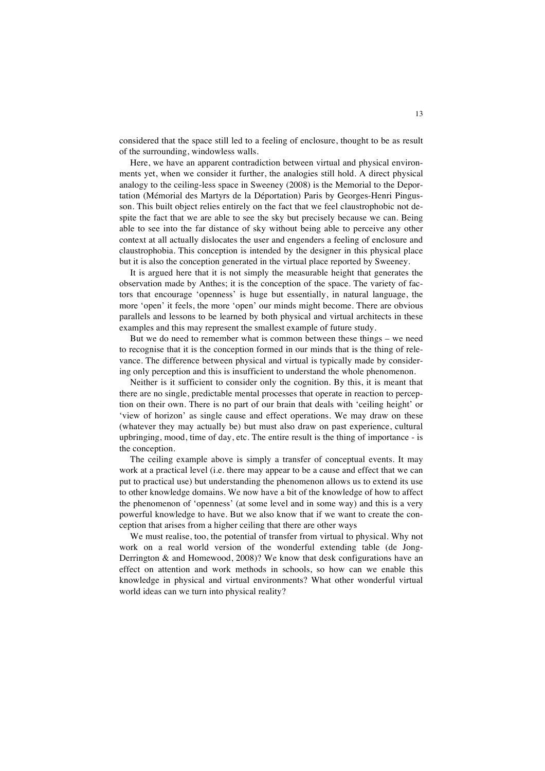considered that the space still led to a feeling of enclosure, thought to be as result of the surrounding, windowless walls.

Here, we have an apparent contradiction between virtual and physical environments yet, when we consider it further, the analogies still hold. A direct physical analogy to the ceiling-less space in Sweeney (2008) is the Memorial to the Deportation (Mémorial des Martyrs de la Déportation) Paris by Georges-Henri Pingusson. This built object relies entirely on the fact that we feel claustrophobic not despite the fact that we are able to see the sky but precisely because we can. Being able to see into the far distance of sky without being able to perceive any other context at all actually dislocates the user and engenders a feeling of enclosure and claustrophobia. This conception is intended by the designer in this physical place but it is also the conception generated in the virtual place reported by Sweeney.

It is argued here that it is not simply the measurable height that generates the observation made by Anthes; it is the conception of the space. The variety of factors that encourage 'openness' is huge but essentially, in natural language, the more 'open' it feels, the more 'open' our minds might become. There are obvious parallels and lessons to be learned by both physical and virtual architects in these examples and this may represent the smallest example of future study.

But we do need to remember what is common between these things – we need to recognise that it is the conception formed in our minds that is the thing of relevance. The difference between physical and virtual is typically made by considering only perception and this is insufficient to understand the whole phenomenon.

Neither is it sufficient to consider only the cognition. By this, it is meant that there are no single, predictable mental processes that operate in reaction to perception on their own. There is no part of our brain that deals with 'ceiling height' or 'view of horizon' as single cause and effect operations. We may draw on these (whatever they may actually be) but must also draw on past experience, cultural upbringing, mood, time of day, etc. The entire result is the thing of importance - is the conception.

The ceiling example above is simply a transfer of conceptual events. It may work at a practical level (i.e. there may appear to be a cause and effect that we can put to practical use) but understanding the phenomenon allows us to extend its use to other knowledge domains. We now have a bit of the knowledge of how to affect the phenomenon of 'openness' (at some level and in some way) and this is a very powerful knowledge to have. But we also know that if we want to create the conception that arises from a higher ceiling that there are other ways

We must realise, too, the potential of transfer from virtual to physical. Why not work on a real world version of the wonderful extending table (de Jong-Derrington & and Homewood, 2008)? We know that desk configurations have an effect on attention and work methods in schools, so how can we enable this knowledge in physical and virtual environments? What other wonderful virtual world ideas can we turn into physical reality?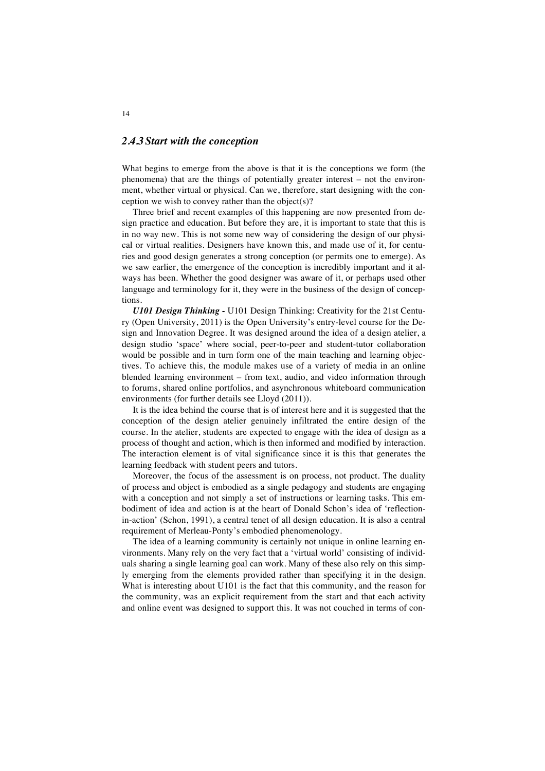#### *2.4.3Start with the conception*

What begins to emerge from the above is that it is the conceptions we form (the phenomena) that are the things of potentially greater interest – not the environment, whether virtual or physical. Can we, therefore, start designing with the conception we wish to convey rather than the object(s)?

Three brief and recent examples of this happening are now presented from design practice and education. But before they are, it is important to state that this is in no way new. This is not some new way of considering the design of our physical or virtual realities. Designers have known this, and made use of it, for centuries and good design generates a strong conception (or permits one to emerge). As we saw earlier, the emergence of the conception is incredibly important and it always has been. Whether the good designer was aware of it, or perhaps used other language and terminology for it, they were in the business of the design of conceptions.

*U101 Design Thinking -* U101 Design Thinking: Creativity for the 21st Century (Open University, 2011) is the Open University's entry-level course for the Design and Innovation Degree. It was designed around the idea of a design atelier, a design studio 'space' where social, peer-to-peer and student-tutor collaboration would be possible and in turn form one of the main teaching and learning objectives. To achieve this, the module makes use of a variety of media in an online blended learning environment – from text, audio, and video information through to forums, shared online portfolios, and asynchronous whiteboard communication environments (for further details see Lloyd (2011)).

It is the idea behind the course that is of interest here and it is suggested that the conception of the design atelier genuinely infiltrated the entire design of the course. In the atelier, students are expected to engage with the idea of design as a process of thought and action, which is then informed and modified by interaction. The interaction element is of vital significance since it is this that generates the learning feedback with student peers and tutors.

Moreover, the focus of the assessment is on process, not product. The duality of process and object is embodied as a single pedagogy and students are engaging with a conception and not simply a set of instructions or learning tasks. This embodiment of idea and action is at the heart of Donald Schon's idea of 'reflectionin-action' (Schon, 1991), a central tenet of all design education. It is also a central requirement of Merleau-Ponty's embodied phenomenology.

The idea of a learning community is certainly not unique in online learning environments. Many rely on the very fact that a 'virtual world' consisting of individuals sharing a single learning goal can work. Many of these also rely on this simply emerging from the elements provided rather than specifying it in the design. What is interesting about U101 is the fact that this community, and the reason for the community, was an explicit requirement from the start and that each activity and online event was designed to support this. It was not couched in terms of con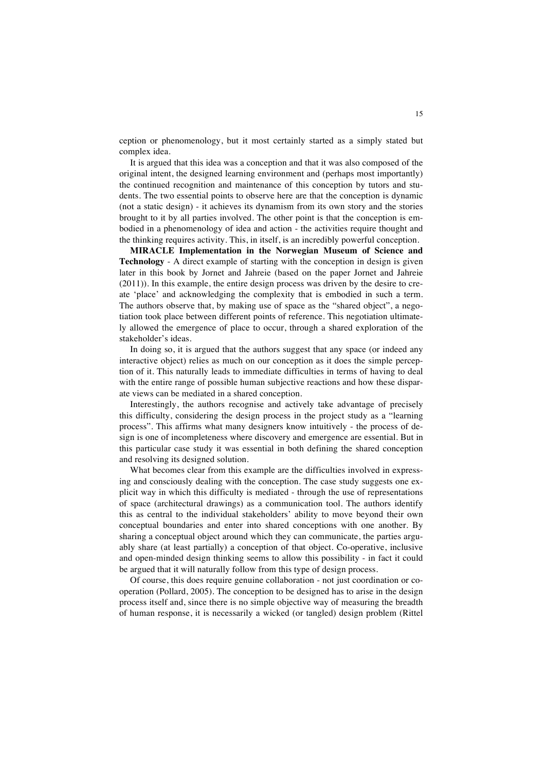ception or phenomenology, but it most certainly started as a simply stated but complex idea.

It is argued that this idea was a conception and that it was also composed of the original intent, the designed learning environment and (perhaps most importantly) the continued recognition and maintenance of this conception by tutors and students. The two essential points to observe here are that the conception is dynamic (not a static design) - it achieves its dynamism from its own story and the stories brought to it by all parties involved. The other point is that the conception is embodied in a phenomenology of idea and action - the activities require thought and the thinking requires activity. This, in itself, is an incredibly powerful conception.

**MIRACLE Implementation in the Norwegian Museum of Science and Technology** - A direct example of starting with the conception in design is given later in this book by Jornet and Jahreie (based on the paper Jornet and Jahreie (2011)). In this example, the entire design process was driven by the desire to create 'place' and acknowledging the complexity that is embodied in such a term. The authors observe that, by making use of space as the "shared object", a negotiation took place between different points of reference. This negotiation ultimately allowed the emergence of place to occur, through a shared exploration of the stakeholder's ideas.

In doing so, it is argued that the authors suggest that any space (or indeed any interactive object) relies as much on our conception as it does the simple perception of it. This naturally leads to immediate difficulties in terms of having to deal with the entire range of possible human subjective reactions and how these disparate views can be mediated in a shared conception.

Interestingly, the authors recognise and actively take advantage of precisely this difficulty, considering the design process in the project study as a "learning process". This affirms what many designers know intuitively - the process of design is one of incompleteness where discovery and emergence are essential. But in this particular case study it was essential in both defining the shared conception and resolving its designed solution.

What becomes clear from this example are the difficulties involved in expressing and consciously dealing with the conception. The case study suggests one explicit way in which this difficulty is mediated - through the use of representations of space (architectural drawings) as a communication tool. The authors identify this as central to the individual stakeholders' ability to move beyond their own conceptual boundaries and enter into shared conceptions with one another. By sharing a conceptual object around which they can communicate, the parties arguably share (at least partially) a conception of that object. Co-operative, inclusive and open-minded design thinking seems to allow this possibility - in fact it could be argued that it will naturally follow from this type of design process.

Of course, this does require genuine collaboration - not just coordination or cooperation (Pollard, 2005). The conception to be designed has to arise in the design process itself and, since there is no simple objective way of measuring the breadth of human response, it is necessarily a wicked (or tangled) design problem (Rittel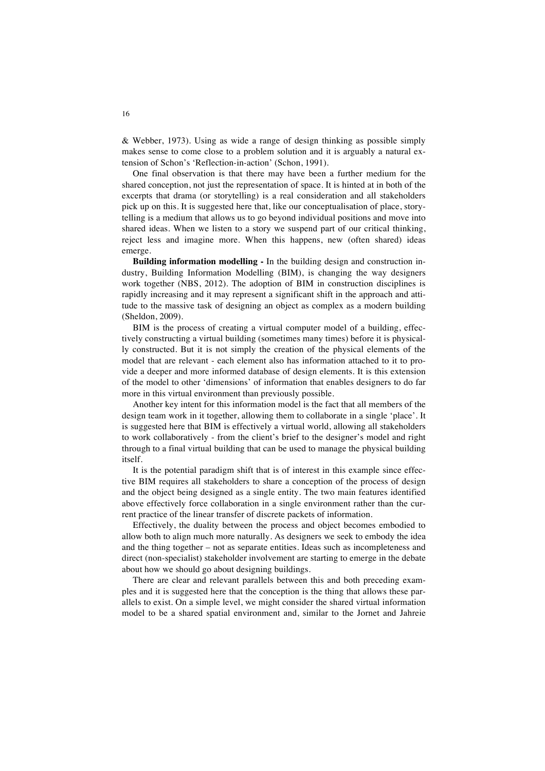& Webber, 1973). Using as wide a range of design thinking as possible simply makes sense to come close to a problem solution and it is arguably a natural extension of Schon's 'Reflection-in-action' (Schon, 1991).

One final observation is that there may have been a further medium for the shared conception, not just the representation of space. It is hinted at in both of the excerpts that drama (or storytelling) is a real consideration and all stakeholders pick up on this. It is suggested here that, like our conceptualisation of place, storytelling is a medium that allows us to go beyond individual positions and move into shared ideas. When we listen to a story we suspend part of our critical thinking, reject less and imagine more. When this happens, new (often shared) ideas emerge.

**Building information modelling -** In the building design and construction industry, Building Information Modelling (BIM), is changing the way designers work together (NBS, 2012). The adoption of BIM in construction disciplines is rapidly increasing and it may represent a significant shift in the approach and attitude to the massive task of designing an object as complex as a modern building (Sheldon, 2009).

BIM is the process of creating a virtual computer model of a building, effectively constructing a virtual building (sometimes many times) before it is physically constructed. But it is not simply the creation of the physical elements of the model that are relevant - each element also has information attached to it to provide a deeper and more informed database of design elements. It is this extension of the model to other 'dimensions' of information that enables designers to do far more in this virtual environment than previously possible.

Another key intent for this information model is the fact that all members of the design team work in it together, allowing them to collaborate in a single 'place'. It is suggested here that BIM is effectively a virtual world, allowing all stakeholders to work collaboratively - from the client's brief to the designer's model and right through to a final virtual building that can be used to manage the physical building itself.

It is the potential paradigm shift that is of interest in this example since effective BIM requires all stakeholders to share a conception of the process of design and the object being designed as a single entity. The two main features identified above effectively force collaboration in a single environment rather than the current practice of the linear transfer of discrete packets of information.

Effectively, the duality between the process and object becomes embodied to allow both to align much more naturally. As designers we seek to embody the idea and the thing together – not as separate entities. Ideas such as incompleteness and direct (non-specialist) stakeholder involvement are starting to emerge in the debate about how we should go about designing buildings.

There are clear and relevant parallels between this and both preceding examples and it is suggested here that the conception is the thing that allows these parallels to exist. On a simple level, we might consider the shared virtual information model to be a shared spatial environment and, similar to the Jornet and Jahreie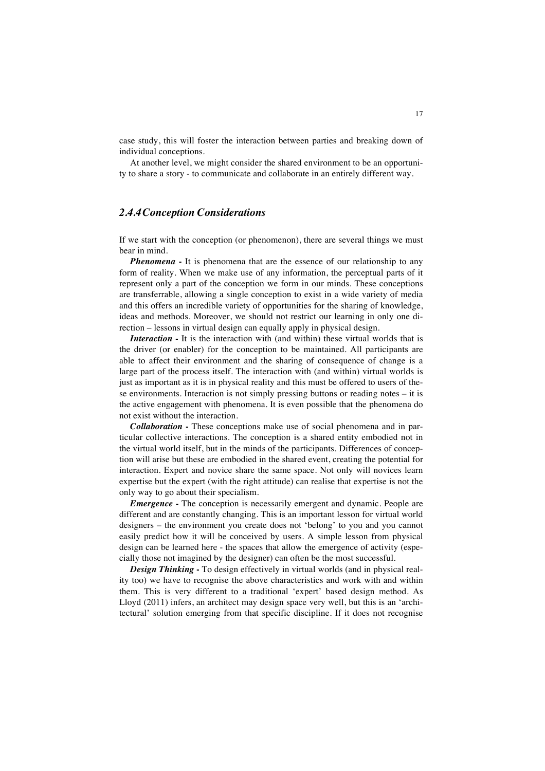case study, this will foster the interaction between parties and breaking down of individual conceptions.

At another level, we might consider the shared environment to be an opportunity to share a story - to communicate and collaborate in an entirely different way.

#### *2.4.4Conception Considerations*

If we start with the conception (or phenomenon), there are several things we must bear in mind.

*Phenomena* **-** It is phenomena that are the essence of our relationship to any form of reality. When we make use of any information, the perceptual parts of it represent only a part of the conception we form in our minds. These conceptions are transferrable, allowing a single conception to exist in a wide variety of media and this offers an incredible variety of opportunities for the sharing of knowledge, ideas and methods. Moreover, we should not restrict our learning in only one direction – lessons in virtual design can equally apply in physical design.

*Interaction* **-** It is the interaction with (and within) these virtual worlds that is the driver (or enabler) for the conception to be maintained. All participants are able to affect their environment and the sharing of consequence of change is a large part of the process itself. The interaction with (and within) virtual worlds is just as important as it is in physical reality and this must be offered to users of these environments. Interaction is not simply pressing buttons or reading notes – it is the active engagement with phenomena. It is even possible that the phenomena do not exist without the interaction.

*Collaboration* **-** These conceptions make use of social phenomena and in particular collective interactions. The conception is a shared entity embodied not in the virtual world itself, but in the minds of the participants. Differences of conception will arise but these are embodied in the shared event, creating the potential for interaction. Expert and novice share the same space. Not only will novices learn expertise but the expert (with the right attitude) can realise that expertise is not the only way to go about their specialism.

*Emergence* **-** The conception is necessarily emergent and dynamic. People are different and are constantly changing. This is an important lesson for virtual world designers – the environment you create does not 'belong' to you and you cannot easily predict how it will be conceived by users. A simple lesson from physical design can be learned here - the spaces that allow the emergence of activity (especially those not imagined by the designer) can often be the most successful.

*Design Thinking* **-** To design effectively in virtual worlds (and in physical reality too) we have to recognise the above characteristics and work with and within them. This is very different to a traditional 'expert' based design method. As Lloyd (2011) infers, an architect may design space very well, but this is an 'architectural' solution emerging from that specific discipline. If it does not recognise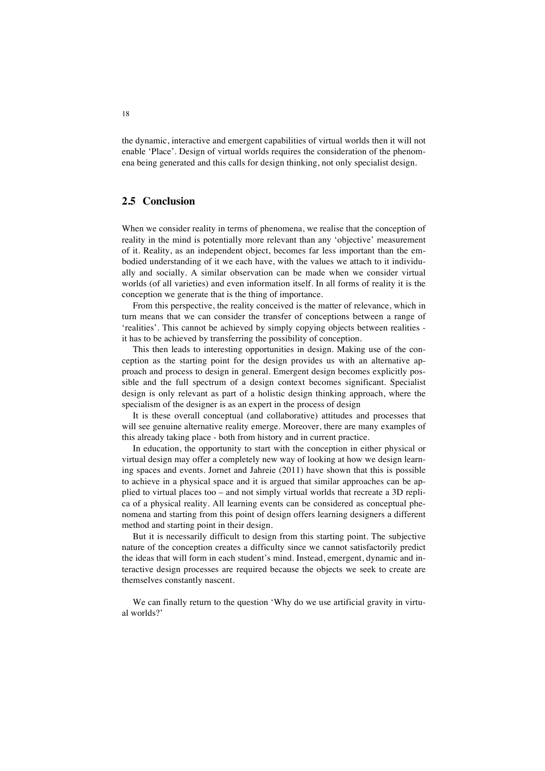the dynamic, interactive and emergent capabilities of virtual worlds then it will not enable 'Place'. Design of virtual worlds requires the consideration of the phenomena being generated and this calls for design thinking, not only specialist design.

#### **2.5 Conclusion**

When we consider reality in terms of phenomena, we realise that the conception of reality in the mind is potentially more relevant than any 'objective' measurement of it. Reality, as an independent object, becomes far less important than the embodied understanding of it we each have, with the values we attach to it individually and socially. A similar observation can be made when we consider virtual worlds (of all varieties) and even information itself. In all forms of reality it is the conception we generate that is the thing of importance.

From this perspective, the reality conceived is the matter of relevance, which in turn means that we can consider the transfer of conceptions between a range of 'realities'. This cannot be achieved by simply copying objects between realities it has to be achieved by transferring the possibility of conception.

This then leads to interesting opportunities in design. Making use of the conception as the starting point for the design provides us with an alternative approach and process to design in general. Emergent design becomes explicitly possible and the full spectrum of a design context becomes significant. Specialist design is only relevant as part of a holistic design thinking approach, where the specialism of the designer is as an expert in the process of design

It is these overall conceptual (and collaborative) attitudes and processes that will see genuine alternative reality emerge. Moreover, there are many examples of this already taking place - both from history and in current practice.

In education, the opportunity to start with the conception in either physical or virtual design may offer a completely new way of looking at how we design learning spaces and events. Jornet and Jahreie (2011) have shown that this is possible to achieve in a physical space and it is argued that similar approaches can be applied to virtual places too – and not simply virtual worlds that recreate a 3D replica of a physical reality. All learning events can be considered as conceptual phenomena and starting from this point of design offers learning designers a different method and starting point in their design.

But it is necessarily difficult to design from this starting point. The subjective nature of the conception creates a difficulty since we cannot satisfactorily predict the ideas that will form in each student's mind. Instead, emergent, dynamic and interactive design processes are required because the objects we seek to create are themselves constantly nascent.

We can finally return to the question 'Why do we use artificial gravity in virtual worlds?'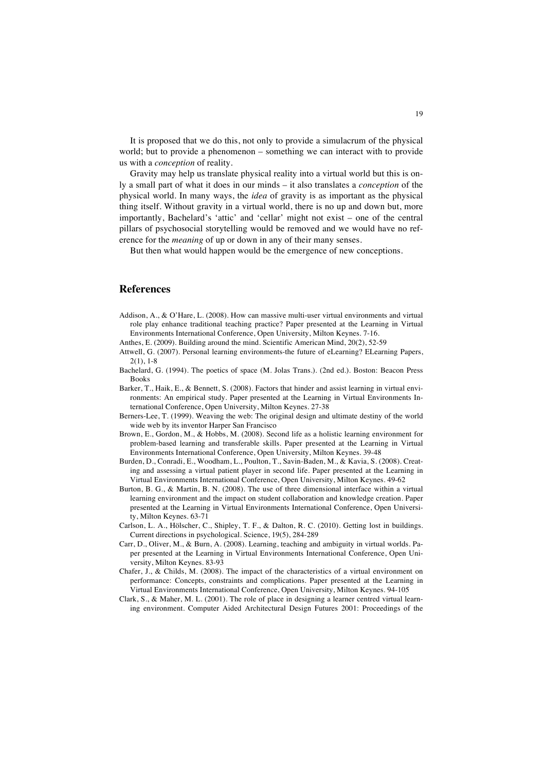It is proposed that we do this, not only to provide a simulacrum of the physical world; but to provide a phenomenon – something we can interact with to provide us with a *conception* of reality.

Gravity may help us translate physical reality into a virtual world but this is only a small part of what it does in our minds – it also translates a *conception* of the physical world. In many ways, the *idea* of gravity is as important as the physical thing itself. Without gravity in a virtual world, there is no up and down but, more importantly, Bachelard's 'attic' and 'cellar' might not exist – one of the central pillars of psychosocial storytelling would be removed and we would have no reference for the *meaning* of up or down in any of their many senses.

But then what would happen would be the emergence of new conceptions.

#### **References**

- Addison, A., & O'Hare, L. (2008). How can massive multi-user virtual environments and virtual role play enhance traditional teaching practice? Paper presented at the Learning in Virtual Environments International Conference, Open University, Milton Keynes. 7-16.
- Anthes, E. (2009). Building around the mind. Scientific American Mind, 20(2), 52-59
- Attwell, G. (2007). Personal learning environments-the future of eLearning? ELearning Papers,  $2(1)$ , 1-8
- Bachelard, G. (1994). The poetics of space (M. Jolas Trans.). (2nd ed.). Boston: Beacon Press Books
- Barker, T., Haik, E., & Bennett, S. (2008). Factors that hinder and assist learning in virtual environments: An empirical study. Paper presented at the Learning in Virtual Environments International Conference, Open University, Milton Keynes. 27-38
- Berners-Lee, T. (1999). Weaving the web: The original design and ultimate destiny of the world wide web by its inventor Harper San Francisco
- Brown, E., Gordon, M., & Hobbs, M. (2008). Second life as a holistic learning environment for problem-based learning and transferable skills. Paper presented at the Learning in Virtual Environments International Conference, Open University, Milton Keynes. 39-48
- Burden, D., Conradi, E., Woodham, L., Poulton, T., Savin-Baden, M., & Kavia, S. (2008). Creating and assessing a virtual patient player in second life. Paper presented at the Learning in Virtual Environments International Conference, Open University, Milton Keynes. 49-62
- Burton, B. G., & Martin, B. N. (2008). The use of three dimensional interface within a virtual learning environment and the impact on student collaboration and knowledge creation. Paper presented at the Learning in Virtual Environments International Conference, Open University, Milton Keynes. 63-71
- Carlson, L. A., Hölscher, C., Shipley, T. F., & Dalton, R. C. (2010). Getting lost in buildings. Current directions in psychological. Science, 19(5), 284-289
- Carr, D., Oliver, M., & Burn, A. (2008). Learning, teaching and ambiguity in virtual worlds. Paper presented at the Learning in Virtual Environments International Conference, Open University, Milton Keynes. 83-93
- Chafer, J., & Childs, M. (2008). The impact of the characteristics of a virtual environment on performance: Concepts, constraints and complications. Paper presented at the Learning in Virtual Environments International Conference, Open University, Milton Keynes. 94-105
- Clark, S., & Maher, M. L. (2001). The role of place in designing a learner centred virtual learning environment. Computer Aided Architectural Design Futures 2001: Proceedings of the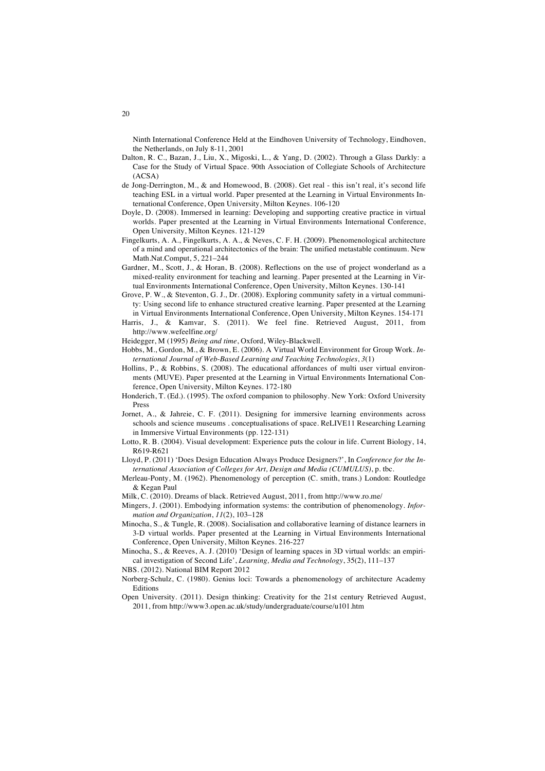Ninth International Conference Held at the Eindhoven University of Technology, Eindhoven, the Netherlands, on July 8-11, 2001

- Dalton, R. C., Bazan, J., Liu, X., Migoski, L., & Yang, D. (2002). Through a Glass Darkly: a Case for the Study of Virtual Space. 90th Association of Collegiate Schools of Architecture (ACSA)
- de Jong-Derrington, M., & and Homewood, B. (2008). Get real this isn't real, it's second life teaching ESL in a virtual world. Paper presented at the Learning in Virtual Environments International Conference, Open University, Milton Keynes. 106-120
- Doyle, D. (2008). Immersed in learning: Developing and supporting creative practice in virtual worlds. Paper presented at the Learning in Virtual Environments International Conference, Open University, Milton Keynes. 121-129
- Fingelkurts, A. A., Fingelkurts, A. A., & Neves, C. F. H. (2009). Phenomenological architecture of a mind and operational architectonics of the brain: The unified metastable continuum. New Math.Nat.Comput, 5, 221–244
- Gardner, M., Scott, J., & Horan, B. (2008). Reflections on the use of project wonderland as a mixed-reality environment for teaching and learning. Paper presented at the Learning in Virtual Environments International Conference, Open University, Milton Keynes. 130-141
- Grove, P. W., & Steventon, G. J., Dr. (2008). Exploring community safety in a virtual community: Using second life to enhance structured creative learning. Paper presented at the Learning in Virtual Environments International Conference, Open University, Milton Keynes. 154-171
- Harris, J., & Kamvar, S. (2011). We feel fine. Retrieved August, 2011, from http://www.wefeelfine.org/
- Heidegger, M (1995) *Being and time*, Oxford, Wiley-Blackwell.
- Hobbs, M., Gordon, M., & Brown, E. (2006). A Virtual World Environment for Group Work. *International Journal of Web-Based Learning and Teaching Technologies*, *3*(1)
- Hollins, P., & Robbins, S. (2008). The educational affordances of multi user virtual environments (MUVE). Paper presented at the Learning in Virtual Environments International Conference, Open University, Milton Keynes. 172-180
- Honderich, T. (Ed.). (1995). The oxford companion to philosophy. New York: Oxford University Press
- Jornet, A., & Jahreie, C. F. (2011). Designing for immersive learning environments across schools and science museums . conceptualisations of space. ReLIVE11 Researching Learning in Immersive Virtual Environments (pp. 122-131)
- Lotto, R. B. (2004). Visual development: Experience puts the colour in life. Current Biology, 14, R619-R621
- Lloyd, P. (2011) 'Does Design Education Always Produce Designers?', In *Conference for the International Association of Colleges for Art, Design and Media (CUMULUS)*, p. tbc.
- Merleau-Ponty, M. (1962). Phenomenology of perception (C. smith, trans.) London: Routledge & Kegan Paul
- Milk, C. (2010). Dreams of black. Retrieved August, 2011, from http://www.ro.me/
- Mingers, J. (2001). Embodying information systems: the contribution of phenomenology. *Information and Organization*, *11*(2), 103–128
- Minocha, S., & Tungle, R. (2008). Socialisation and collaborative learning of distance learners in 3-D virtual worlds. Paper presented at the Learning in Virtual Environments International Conference, Open University, Milton Keynes. 216-227
- Minocha, S., & Reeves, A. J. (2010) 'Design of learning spaces in 3D virtual worlds: an empirical investigation of Second Life', *Learning, Media and Technology*, 35(2), 111–137
- NBS. (2012). National BIM Report 2012
- Norberg-Schulz, C. (1980). Genius loci: Towards a phenomenology of architecture Academy Editions
- Open University. (2011). Design thinking: Creativity for the 21st century Retrieved August, 2011, from http://www3.open.ac.uk/study/undergraduate/course/u101.htm

20